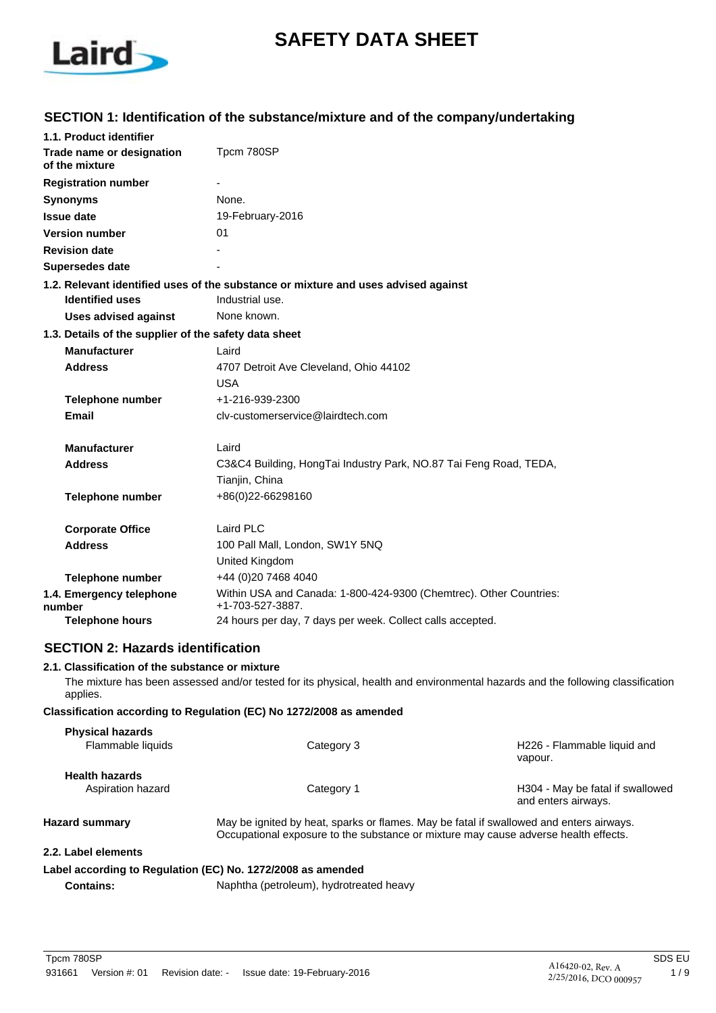

# **SAFETY DATA SHEET**

# **SECTION 1: Identification of the substance/mixture and of the company/undertaking**

| 1.1. Product identifier                               |                                                                                                       |
|-------------------------------------------------------|-------------------------------------------------------------------------------------------------------|
| Trade name or designation<br>of the mixture           | Tpcm 780SP                                                                                            |
| <b>Registration number</b>                            |                                                                                                       |
| <b>Synonyms</b>                                       | None.                                                                                                 |
| <b>Issue date</b>                                     | 19-February-2016                                                                                      |
| <b>Version number</b>                                 | 01                                                                                                    |
| <b>Revision date</b>                                  |                                                                                                       |
| <b>Supersedes date</b>                                |                                                                                                       |
| <b>Identified uses</b>                                | 1.2. Relevant identified uses of the substance or mixture and uses advised against<br>Industrial use. |
| <b>Uses advised against</b>                           | None known.                                                                                           |
| 1.3. Details of the supplier of the safety data sheet |                                                                                                       |
| <b>Manufacturer</b>                                   | Laird                                                                                                 |
| <b>Address</b>                                        | 4707 Detroit Ave Cleveland, Ohio 44102                                                                |
|                                                       | <b>USA</b>                                                                                            |
| <b>Telephone number</b>                               | +1-216-939-2300                                                                                       |
| Email                                                 | cly-customerservice@lairdtech.com                                                                     |
| <b>Manufacturer</b>                                   | Laird                                                                                                 |
| <b>Address</b>                                        | C3&C4 Building, HongTai Industry Park, NO.87 Tai Feng Road, TEDA,                                     |
|                                                       | Tianjin, China                                                                                        |
| <b>Telephone number</b>                               | +86(0)22-66298160                                                                                     |
| <b>Corporate Office</b>                               | Laird PLC                                                                                             |
| <b>Address</b>                                        | 100 Pall Mall, London, SW1Y 5NQ                                                                       |
|                                                       | United Kingdom                                                                                        |
| <b>Telephone number</b>                               | +44 (0)20 7468 4040                                                                                   |
| 1.4. Emergency telephone<br>number                    | Within USA and Canada: 1-800-424-9300 (Chemtrec). Other Countries:<br>+1-703-527-3887.                |
| Telephone hours                                       | 24 hours per day, 7 days per week. Collect calls accepted.                                            |

#### **SECTION 2: Hazards identification**

#### **2.1. Classification of the substance or mixture**

The mixture has been assessed and/or tested for its physical, health and environmental hazards and the following classification applies.

#### **Classification according to Regulation (EC) No 1272/2008 as amended**

| <b>Physical hazards</b>               |                                                                                                                                                                                |                                                         |
|---------------------------------------|--------------------------------------------------------------------------------------------------------------------------------------------------------------------------------|---------------------------------------------------------|
| Flammable liquids                     | Category 3                                                                                                                                                                     | H226 - Flammable liquid and<br>vapour.                  |
| <b>Health hazards</b>                 |                                                                                                                                                                                |                                                         |
| Aspiration hazard                     | Category 1                                                                                                                                                                     | H304 - May be fatal if swallowed<br>and enters airways. |
| <b>Hazard summary</b>                 | May be ignited by heat, sparks or flames. May be fatal if swallowed and enters airways.<br>Occupational exposure to the substance or mixture may cause adverse health effects. |                                                         |
| 0.0.1. - L. - L. - L. - - - - - - - - |                                                                                                                                                                                |                                                         |

#### **2.2. Label elements**

# **Label according to Regulation (EC) No. 1272/2008 as amended**

**Contains:** Naphtha (petroleum), hydrotreated heavy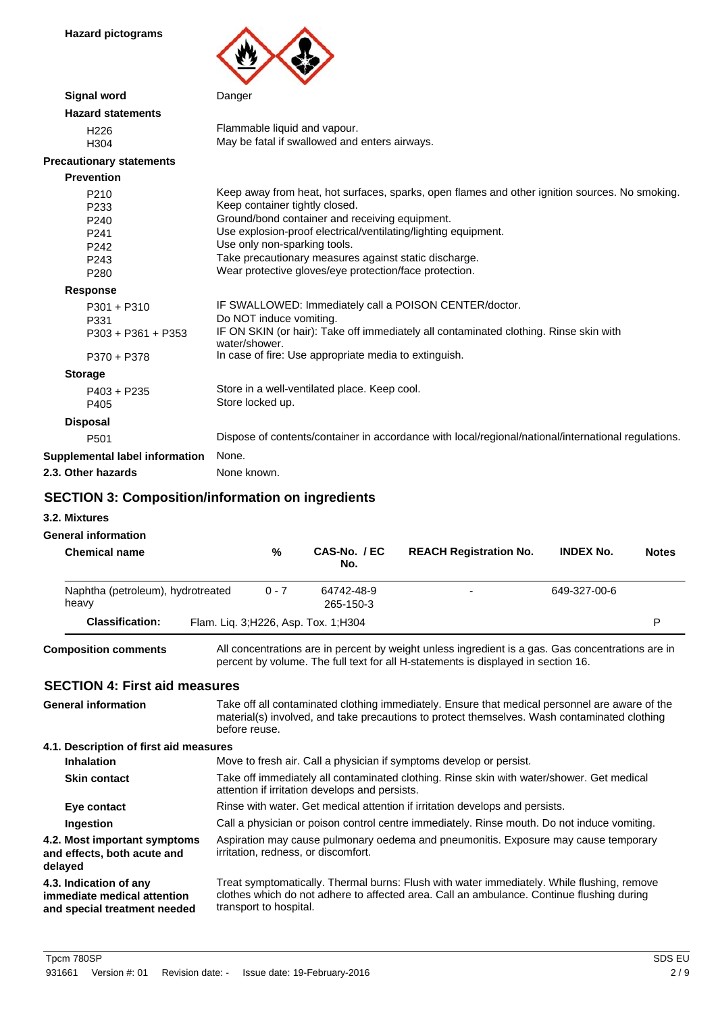**Hazard pictograms**



| <b>Signal word</b>              | Danger                                                                                                 |
|---------------------------------|--------------------------------------------------------------------------------------------------------|
| <b>Hazard statements</b>        |                                                                                                        |
| H <sub>226</sub>                | Flammable liquid and vapour.                                                                           |
| H304                            | May be fatal if swallowed and enters airways.                                                          |
| <b>Precautionary statements</b> |                                                                                                        |
| <b>Prevention</b>               |                                                                                                        |
| P210                            | Keep away from heat, hot surfaces, sparks, open flames and other ignition sources. No smoking.         |
| P <sub>233</sub>                | Keep container tightly closed.                                                                         |
| P240                            | Ground/bond container and receiving equipment.                                                         |
| P241                            | Use explosion-proof electrical/ventilating/lighting equipment.                                         |
| P <sub>242</sub>                | Use only non-sparking tools.                                                                           |
| P <sub>243</sub>                | Take precautionary measures against static discharge.                                                  |
| P <sub>280</sub>                | Wear protective gloves/eye protection/face protection.                                                 |
| <b>Response</b>                 |                                                                                                        |
| $P301 + P310$                   | IF SWALLOWED: Immediately call a POISON CENTER/doctor.                                                 |
| P331                            | Do NOT induce vomiting.                                                                                |
| $P303 + P361 + P353$            | IF ON SKIN (or hair): Take off immediately all contaminated clothing. Rinse skin with<br>water/shower. |
| P370 + P378                     | In case of fire: Use appropriate media to extinguish.                                                  |
| <b>Storage</b>                  |                                                                                                        |
| $P403 + P235$                   | Store in a well-ventilated place. Keep cool.                                                           |
| P405                            | Store locked up.                                                                                       |
| <b>Disposal</b>                 |                                                                                                        |
| P <sub>501</sub>                | Dispose of contents/container in accordance with local/regional/national/international regulations.    |
| Supplemental label information  | None.                                                                                                  |
| 2.3. Other hazards              | None known.                                                                                            |
|                                 |                                                                                                        |

### **SECTION 3: Composition/information on ingredients**

**3.2. Mixtures**

# **General information**

| <b>Chemical name</b>                       | %       | CAS-No. / EC<br>No.                   | <b>REACH Registration No.</b> | <b>INDEX No.</b> | <b>Notes</b> |
|--------------------------------------------|---------|---------------------------------------|-------------------------------|------------------|--------------|
| Naphtha (petroleum), hydrotreated<br>heavy | $0 - 7$ | 64742-48-9<br>265-150-3               |                               | 649-327-00-6     |              |
| <b>Classification:</b>                     |         | Flam. Liq. 3; H226, Asp. Tox. 1; H304 |                               |                  | Þ            |

**Composition comments**

All concentrations are in percent by weight unless ingredient is a gas. Gas concentrations are in percent by volume. The full text for all H-statements is displayed in section 16.

#### **SECTION 4: First aid measures**

| <b>SECTION 4: First aid measures</b>                                                  |                                                                                                                                                                                                                   |
|---------------------------------------------------------------------------------------|-------------------------------------------------------------------------------------------------------------------------------------------------------------------------------------------------------------------|
| <b>General information</b>                                                            | Take off all contaminated clothing immediately. Ensure that medical personnel are aware of the<br>material(s) involved, and take precautions to protect themselves. Wash contaminated clothing<br>before reuse.   |
| 4.1. Description of first aid measures                                                |                                                                                                                                                                                                                   |
| <b>Inhalation</b>                                                                     | Move to fresh air. Call a physician if symptoms develop or persist.                                                                                                                                               |
| <b>Skin contact</b>                                                                   | Take off immediately all contaminated clothing. Rinse skin with water/shower. Get medical<br>attention if irritation develops and persists.                                                                       |
| Eye contact                                                                           | Rinse with water. Get medical attention if irritation develops and persists.                                                                                                                                      |
| Ingestion                                                                             | Call a physician or poison control centre immediately. Rinse mouth. Do not induce vomiting.                                                                                                                       |
| 4.2. Most important symptoms<br>and effects, both acute and<br>delayed                | Aspiration may cause pulmonary oedema and pneumonitis. Exposure may cause temporary<br>irritation, redness, or discomfort.                                                                                        |
| 4.3. Indication of any<br>immediate medical attention<br>and special treatment needed | Treat symptomatically. Thermal burns: Flush with water immediately. While flushing, remove<br>clothes which do not adhere to affected area. Call an ambulance. Continue flushing during<br>transport to hospital. |
|                                                                                       |                                                                                                                                                                                                                   |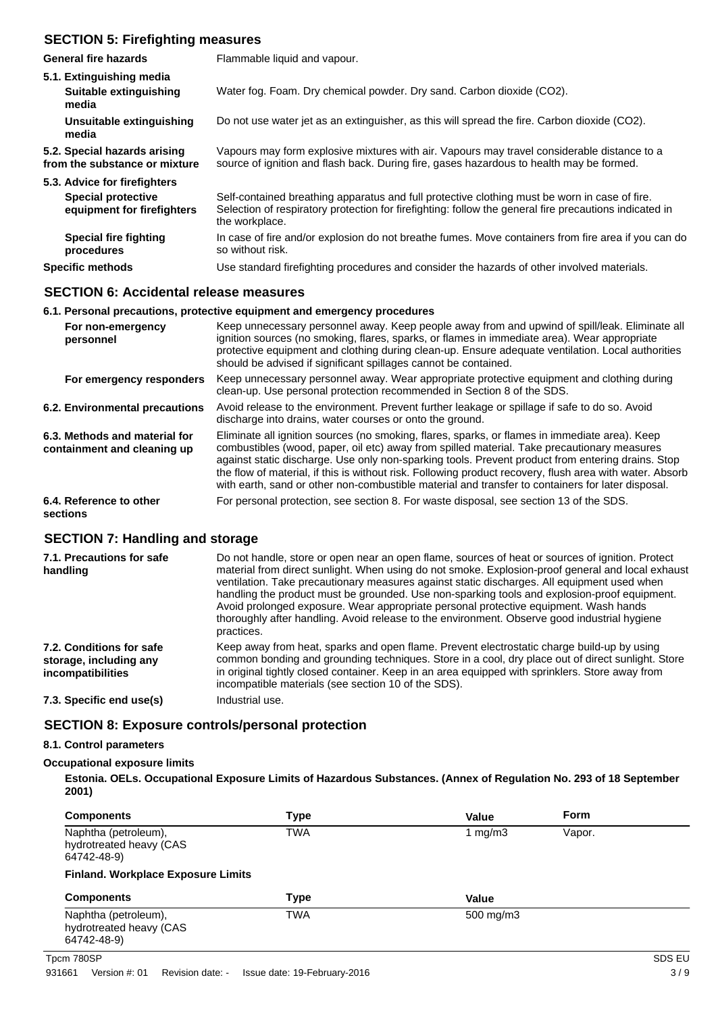# **SECTION 5: Firefighting measures**

| <b>General fire hazards</b>                                   | Flammable liquid and vapour.                                                                                                                                                                                              |
|---------------------------------------------------------------|---------------------------------------------------------------------------------------------------------------------------------------------------------------------------------------------------------------------------|
| 5.1. Extinguishing media<br>Suitable extinguishing<br>media   | Water fog. Foam. Dry chemical powder. Dry sand. Carbon dioxide (CO2).                                                                                                                                                     |
| Unsuitable extinguishing<br>media                             | Do not use water jet as an extinguisher, as this will spread the fire. Carbon dioxide (CO2).                                                                                                                              |
| 5.2. Special hazards arising<br>from the substance or mixture | Vapours may form explosive mixtures with air. Vapours may travel considerable distance to a<br>source of ignition and flash back. During fire, gases hazardous to health may be formed.                                   |
| 5.3. Advice for firefighters                                  |                                                                                                                                                                                                                           |
| <b>Special protective</b><br>equipment for firefighters       | Self-contained breathing apparatus and full protective clothing must be worn in case of fire.<br>Selection of respiratory protection for firefighting: follow the general fire precautions indicated in<br>the workplace. |
| <b>Special fire fighting</b><br>procedures                    | In case of fire and/or explosion do not breathe fumes. Move containers from fire area if you can do<br>so without risk.                                                                                                   |
| <b>Specific methods</b>                                       | Use standard firefighting procedures and consider the hazards of other involved materials.                                                                                                                                |

### **SECTION 6: Accidental release measures**

|                                                              | 6.1. Personal precautions, protective equipment and emergency procedures                                                                                                                                                                                                                                                                                                                                                                                                                                            |
|--------------------------------------------------------------|---------------------------------------------------------------------------------------------------------------------------------------------------------------------------------------------------------------------------------------------------------------------------------------------------------------------------------------------------------------------------------------------------------------------------------------------------------------------------------------------------------------------|
| For non-emergency<br>personnel                               | Keep unnecessary personnel away. Keep people away from and upwind of spill/leak. Eliminate all<br>ignition sources (no smoking, flares, sparks, or flames in immediate area). Wear appropriate<br>protective equipment and clothing during clean-up. Ensure adequate ventilation. Local authorities<br>should be advised if significant spillages cannot be contained.                                                                                                                                              |
| For emergency responders                                     | Keep unnecessary personnel away. Wear appropriate protective equipment and clothing during<br>clean-up. Use personal protection recommended in Section 8 of the SDS.                                                                                                                                                                                                                                                                                                                                                |
| 6.2. Environmental precautions                               | Avoid release to the environment. Prevent further leakage or spillage if safe to do so. Avoid<br>discharge into drains, water courses or onto the ground.                                                                                                                                                                                                                                                                                                                                                           |
| 6.3. Methods and material for<br>containment and cleaning up | Eliminate all ignition sources (no smoking, flares, sparks, or flames in immediate area). Keep<br>combustibles (wood, paper, oil etc) away from spilled material. Take precautionary measures<br>against static discharge. Use only non-sparking tools. Prevent product from entering drains. Stop<br>the flow of material, if this is without risk. Following product recovery, flush area with water. Absorb<br>with earth, sand or other non-combustible material and transfer to containers for later disposal. |
| 6.4. Reference to other<br>sections                          | For personal protection, see section 8. For waste disposal, see section 13 of the SDS.                                                                                                                                                                                                                                                                                                                                                                                                                              |

### **SECTION 7: Handling and storage**

| 7.1. Precautions for safe<br>handling                                   | Do not handle, store or open near an open flame, sources of heat or sources of ignition. Protect<br>material from direct sunlight. When using do not smoke. Explosion-proof general and local exhaust<br>ventilation. Take precautionary measures against static discharges. All equipment used when<br>handling the product must be grounded. Use non-sparking tools and explosion-proof equipment.<br>Avoid prolonged exposure. Wear appropriate personal protective equipment. Wash hands<br>thoroughly after handling. Avoid release to the environment. Observe good industrial hygiene<br>practices. |
|-------------------------------------------------------------------------|------------------------------------------------------------------------------------------------------------------------------------------------------------------------------------------------------------------------------------------------------------------------------------------------------------------------------------------------------------------------------------------------------------------------------------------------------------------------------------------------------------------------------------------------------------------------------------------------------------|
| 7.2. Conditions for safe<br>storage, including any<br>incompatibilities | Keep away from heat, sparks and open flame. Prevent electrostatic charge build-up by using<br>common bonding and grounding techniques. Store in a cool, dry place out of direct sunlight. Store<br>in original tightly closed container. Keep in an area equipped with sprinklers. Store away from<br>incompatible materials (see section 10 of the SDS).                                                                                                                                                                                                                                                  |
| 7.3. Specific end use(s)                                                | Industrial use.                                                                                                                                                                                                                                                                                                                                                                                                                                                                                                                                                                                            |

#### **SECTION 8: Exposure controls/personal protection**

#### **8.1. Control parameters**

#### **Occupational exposure limits**

**Estonia. OELs. Occupational Exposure Limits of Hazardous Substances. (Annex of Regulation No. 293 of 18 September 2001)**

| <b>Components</b>                                              | <b>Type</b> | Value      | <b>Form</b> |               |
|----------------------------------------------------------------|-------------|------------|-------------|---------------|
| Naphtha (petroleum),<br>hydrotreated heavy (CAS<br>64742-48-9) | <b>TWA</b>  | 1 mg/m $3$ | Vapor.      |               |
| <b>Finland. Workplace Exposure Limits</b>                      |             |            |             |               |
| <b>Components</b>                                              | <b>Type</b> | Value      |             |               |
| Naphtha (petroleum),<br>hydrotreated heavy (CAS<br>64742-48-9) | <b>TWA</b>  | 500 mg/m3  |             |               |
| Tpcm 780SP                                                     |             |            |             | <b>SDS EU</b> |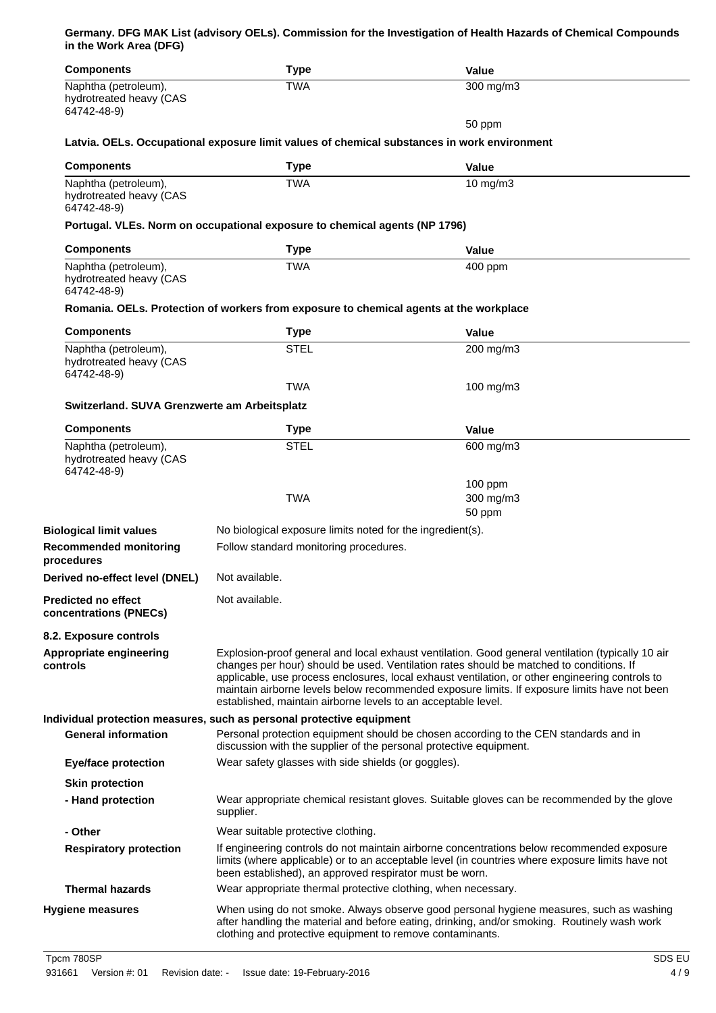**Germany. DFG MAK List (advisory OELs). Commission for the Investigation of Health Hazards of Chemical Compounds in the Work Area (DFG)**

| <b>Components</b>                                              | <b>Type</b>                                                                                                                                 | <b>Value</b>                                                                                                                                                                                                                                                                                                                                                                                    |
|----------------------------------------------------------------|---------------------------------------------------------------------------------------------------------------------------------------------|-------------------------------------------------------------------------------------------------------------------------------------------------------------------------------------------------------------------------------------------------------------------------------------------------------------------------------------------------------------------------------------------------|
| Naphtha (petroleum),<br>hydrotreated heavy (CAS<br>64742-48-9) | <b>TWA</b>                                                                                                                                  | $300$ mg/m3                                                                                                                                                                                                                                                                                                                                                                                     |
|                                                                |                                                                                                                                             | 50 ppm                                                                                                                                                                                                                                                                                                                                                                                          |
|                                                                | Latvia. OELs. Occupational exposure limit values of chemical substances in work environment                                                 |                                                                                                                                                                                                                                                                                                                                                                                                 |
| <b>Components</b>                                              | <b>Type</b>                                                                                                                                 | <b>Value</b>                                                                                                                                                                                                                                                                                                                                                                                    |
| Naphtha (petroleum),<br>hydrotreated heavy (CAS<br>64742-48-9) | <b>TWA</b>                                                                                                                                  | $10$ mg/m $3$                                                                                                                                                                                                                                                                                                                                                                                   |
|                                                                | Portugal. VLEs. Norm on occupational exposure to chemical agents (NP 1796)                                                                  |                                                                                                                                                                                                                                                                                                                                                                                                 |
| <b>Components</b>                                              | <b>Type</b>                                                                                                                                 | <b>Value</b>                                                                                                                                                                                                                                                                                                                                                                                    |
| Naphtha (petroleum),<br>hydrotreated heavy (CAS<br>64742-48-9) | <b>TWA</b>                                                                                                                                  | 400 ppm                                                                                                                                                                                                                                                                                                                                                                                         |
|                                                                | Romania. OELs. Protection of workers from exposure to chemical agents at the workplace                                                      |                                                                                                                                                                                                                                                                                                                                                                                                 |
| <b>Components</b>                                              | <b>Type</b>                                                                                                                                 | <b>Value</b>                                                                                                                                                                                                                                                                                                                                                                                    |
| Naphtha (petroleum),<br>hydrotreated heavy (CAS<br>64742-48-9) | <b>STEL</b>                                                                                                                                 | 200 mg/m3                                                                                                                                                                                                                                                                                                                                                                                       |
|                                                                | <b>TWA</b>                                                                                                                                  | 100 mg/m $3$                                                                                                                                                                                                                                                                                                                                                                                    |
| Switzerland. SUVA Grenzwerte am Arbeitsplatz                   |                                                                                                                                             |                                                                                                                                                                                                                                                                                                                                                                                                 |
| <b>Components</b>                                              | <b>Type</b>                                                                                                                                 | <b>Value</b>                                                                                                                                                                                                                                                                                                                                                                                    |
| Naphtha (petroleum),<br>hydrotreated heavy (CAS<br>64742-48-9) | <b>STEL</b>                                                                                                                                 | 600 mg/m3                                                                                                                                                                                                                                                                                                                                                                                       |
|                                                                | <b>TWA</b>                                                                                                                                  | $100$ ppm<br>300 mg/m3<br>50 ppm                                                                                                                                                                                                                                                                                                                                                                |
| <b>Biological limit values</b>                                 | No biological exposure limits noted for the ingredient(s).                                                                                  |                                                                                                                                                                                                                                                                                                                                                                                                 |
| <b>Recommended monitoring</b><br>procedures                    | Follow standard monitoring procedures.                                                                                                      |                                                                                                                                                                                                                                                                                                                                                                                                 |
| Derived no-effect level (DNEL)                                 | Not available.                                                                                                                              |                                                                                                                                                                                                                                                                                                                                                                                                 |
| <b>Predicted no effect</b><br>concentrations (PNECs)           | Not available.                                                                                                                              |                                                                                                                                                                                                                                                                                                                                                                                                 |
| 8.2. Exposure controls                                         |                                                                                                                                             |                                                                                                                                                                                                                                                                                                                                                                                                 |
| Appropriate engineering<br>controls                            | established, maintain airborne levels to an acceptable level.                                                                               | Explosion-proof general and local exhaust ventilation. Good general ventilation (typically 10 air<br>changes per hour) should be used. Ventilation rates should be matched to conditions. If<br>applicable, use process enclosures, local exhaust ventilation, or other engineering controls to<br>maintain airborne levels below recommended exposure limits. If exposure limits have not been |
| <b>General information</b>                                     | Individual protection measures, such as personal protective equipment<br>discussion with the supplier of the personal protective equipment. | Personal protection equipment should be chosen according to the CEN standards and in                                                                                                                                                                                                                                                                                                            |
| <b>Eye/face protection</b>                                     | Wear safety glasses with side shields (or goggles).                                                                                         |                                                                                                                                                                                                                                                                                                                                                                                                 |
| <b>Skin protection</b>                                         |                                                                                                                                             |                                                                                                                                                                                                                                                                                                                                                                                                 |
| - Hand protection                                              | supplier.                                                                                                                                   | Wear appropriate chemical resistant gloves. Suitable gloves can be recommended by the glove                                                                                                                                                                                                                                                                                                     |
| - Other                                                        | Wear suitable protective clothing.                                                                                                          |                                                                                                                                                                                                                                                                                                                                                                                                 |
| <b>Respiratory protection</b>                                  | been established), an approved respirator must be worn.                                                                                     | If engineering controls do not maintain airborne concentrations below recommended exposure<br>limits (where applicable) or to an acceptable level (in countries where exposure limits have not                                                                                                                                                                                                  |
| <b>Thermal hazards</b>                                         | Wear appropriate thermal protective clothing, when necessary.                                                                               |                                                                                                                                                                                                                                                                                                                                                                                                 |
| <b>Hygiene measures</b>                                        | clothing and protective equipment to remove contaminants.                                                                                   | When using do not smoke. Always observe good personal hygiene measures, such as washing<br>after handling the material and before eating, drinking, and/or smoking. Routinely wash work                                                                                                                                                                                                         |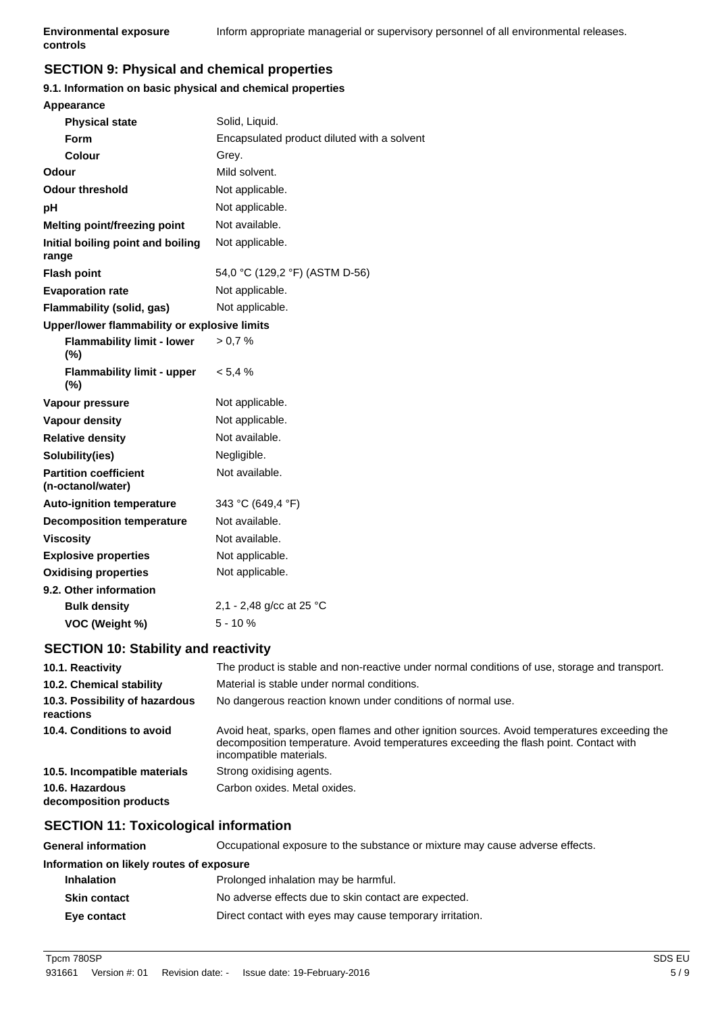# **SECTION 9: Physical and chemical properties**

#### **9.1. Information on basic physical and chemical properties**

| Appearance                                        |                                             |
|---------------------------------------------------|---------------------------------------------|
| <b>Physical state</b>                             | Solid, Liquid.                              |
| Form                                              | Encapsulated product diluted with a solvent |
| Colour                                            | Grey.                                       |
| Odour                                             | Mild solvent.                               |
| Odour threshold                                   | Not applicable.                             |
| рH                                                | Not applicable.                             |
| <b>Melting point/freezing point</b>               | Not available.                              |
| Initial boiling point and boiling<br>range        | Not applicable.                             |
| <b>Flash point</b>                                | 54,0 °C (129,2 °F) (ASTM D-56)              |
| <b>Evaporation rate</b>                           | Not applicable.                             |
| Flammability (solid, gas)                         | Not applicable.                             |
| Upper/lower flammability or explosive limits      |                                             |
| <b>Flammability limit - lower</b><br>$(\%)$       | > 0.7 %                                     |
| <b>Flammability limit - upper</b><br>$(\% )$      | $< 5.4 \%$                                  |
| Vapour pressure                                   | Not applicable.                             |
| <b>Vapour density</b>                             | Not applicable.                             |
| <b>Relative density</b>                           | Not available.                              |
| Solubility(ies)                                   | Negligible.                                 |
| <b>Partition coefficient</b><br>(n-octanol/water) | Not available.                              |
| <b>Auto-ignition temperature</b>                  | 343 °C (649,4 °F)                           |
| <b>Decomposition temperature</b>                  | Not available.                              |
| <b>Viscosity</b>                                  | Not available.                              |
| <b>Explosive properties</b>                       | Not applicable.                             |
| <b>Oxidising properties</b>                       | Not applicable.                             |
| 9.2. Other information                            |                                             |
| <b>Bulk density</b>                               | 2,1 - 2,48 g/cc at 25 °C                    |
| VOC (Weight %)                                    | $5 - 10%$                                   |
|                                                   |                                             |

### **SECTION 10: Stability and reactivity**

| 10.1. Reactivity                            | The product is stable and non-reactive under normal conditions of use, storage and transport.                                                                                                                    |
|---------------------------------------------|------------------------------------------------------------------------------------------------------------------------------------------------------------------------------------------------------------------|
| 10.2. Chemical stability                    | Material is stable under normal conditions.                                                                                                                                                                      |
| 10.3. Possibility of hazardous<br>reactions | No dangerous reaction known under conditions of normal use.                                                                                                                                                      |
| 10.4. Conditions to avoid                   | Avoid heat, sparks, open flames and other ignition sources. Avoid temperatures exceeding the<br>decomposition temperature. Avoid temperatures exceeding the flash point. Contact with<br>incompatible materials. |
| 10.5. Incompatible materials                | Strong oxidising agents.                                                                                                                                                                                         |
| 10.6. Hazardous<br>decomposition products   | Carbon oxides. Metal oxides.                                                                                                                                                                                     |

# **SECTION 11: Toxicological information**

| <b>General information</b>               | Occupational exposure to the substance or mixture may cause adverse effects. |  |
|------------------------------------------|------------------------------------------------------------------------------|--|
| Information on likely routes of exposure |                                                                              |  |
| <b>Inhalation</b>                        | Prolonged inhalation may be harmful.                                         |  |
| <b>Skin contact</b>                      | No adverse effects due to skin contact are expected.                         |  |
| Eye contact                              | Direct contact with eyes may cause temporary irritation.                     |  |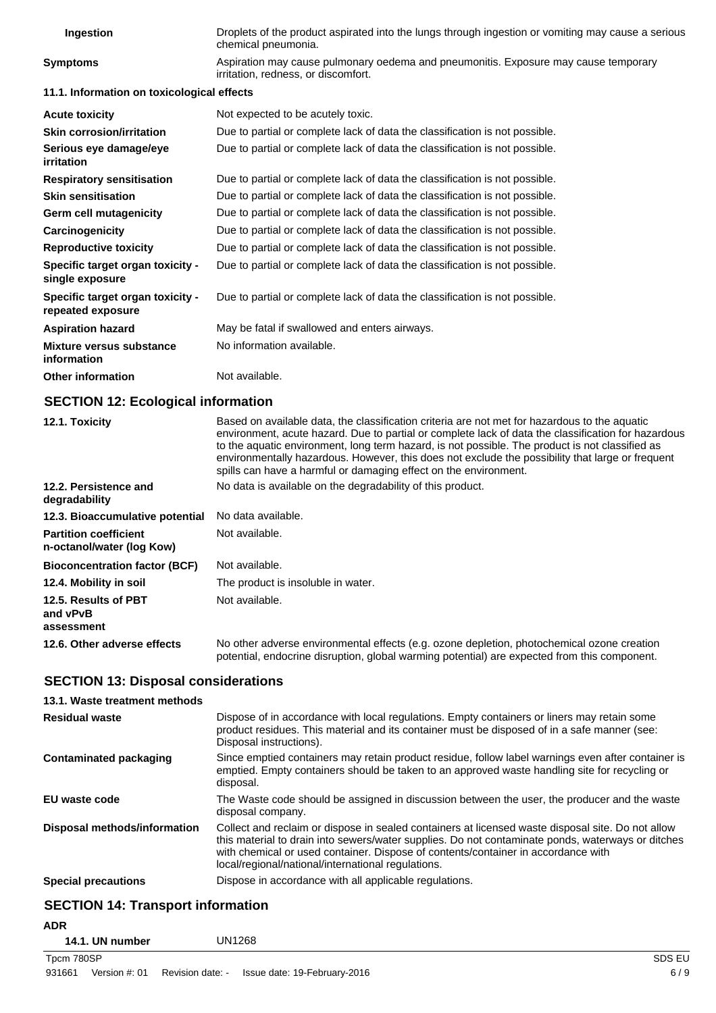| Ingestion                                             | Droplets of the product aspirated into the lungs through ingestion or vomiting may cause a serious<br>chemical pneumonia.  |
|-------------------------------------------------------|----------------------------------------------------------------------------------------------------------------------------|
| <b>Symptoms</b>                                       | Aspiration may cause pulmonary oedema and pneumonitis. Exposure may cause temporary<br>irritation, redness, or discomfort. |
| 11.1. Information on toxicological effects            |                                                                                                                            |
| <b>Acute toxicity</b>                                 | Not expected to be acutely toxic.                                                                                          |
| <b>Skin corrosion/irritation</b>                      | Due to partial or complete lack of data the classification is not possible.                                                |
| Serious eye damage/eye<br>irritation                  | Due to partial or complete lack of data the classification is not possible.                                                |
| <b>Respiratory sensitisation</b>                      | Due to partial or complete lack of data the classification is not possible.                                                |
| <b>Skin sensitisation</b>                             | Due to partial or complete lack of data the classification is not possible.                                                |
| Germ cell mutagenicity                                | Due to partial or complete lack of data the classification is not possible.                                                |
| Carcinogenicity                                       | Due to partial or complete lack of data the classification is not possible.                                                |
| <b>Reproductive toxicity</b>                          | Due to partial or complete lack of data the classification is not possible.                                                |
| Specific target organ toxicity -<br>single exposure   | Due to partial or complete lack of data the classification is not possible.                                                |
| Specific target organ toxicity -<br>repeated exposure | Due to partial or complete lack of data the classification is not possible.                                                |
| <b>Aspiration hazard</b>                              | May be fatal if swallowed and enters airways.                                                                              |
| Mixture versus substance<br>information               | No information available.                                                                                                  |
| <b>Other information</b>                              | Not available.                                                                                                             |

#### **SECTION 12: Ecological information**

| 12.1. Toxicity                                            | Based on available data, the classification criteria are not met for hazardous to the aquatic<br>environment, acute hazard. Due to partial or complete lack of data the classification for hazardous<br>to the aquatic environment, long term hazard, is not possible. The product is not classified as<br>environmentally hazardous. However, this does not exclude the possibility that large or frequent<br>spills can have a harmful or damaging effect on the environment. |
|-----------------------------------------------------------|---------------------------------------------------------------------------------------------------------------------------------------------------------------------------------------------------------------------------------------------------------------------------------------------------------------------------------------------------------------------------------------------------------------------------------------------------------------------------------|
| 12.2. Persistence and<br>degradability                    | No data is available on the degradability of this product.                                                                                                                                                                                                                                                                                                                                                                                                                      |
| 12.3. Bioaccumulative potential                           | No data available.                                                                                                                                                                                                                                                                                                                                                                                                                                                              |
| <b>Partition coefficient</b><br>n-octanol/water (log Kow) | Not available.                                                                                                                                                                                                                                                                                                                                                                                                                                                                  |
| <b>Bioconcentration factor (BCF)</b>                      | Not available.                                                                                                                                                                                                                                                                                                                                                                                                                                                                  |
| 12.4. Mobility in soil                                    | The product is insoluble in water.                                                                                                                                                                                                                                                                                                                                                                                                                                              |
| 12.5. Results of PBT<br>and vPvB<br>assessment            | Not available.                                                                                                                                                                                                                                                                                                                                                                                                                                                                  |
| 12.6. Other adverse effects                               | No other adverse environmental effects (e.g. ozone depletion, photochemical ozone creation<br>potential, endocrine disruption, global warming potential) are expected from this component.                                                                                                                                                                                                                                                                                      |

# **SECTION 13: Disposal considerations**

| 13.1. Waste treatment methods |                                                                                                                                                                                                                                                                                                                                                   |
|-------------------------------|---------------------------------------------------------------------------------------------------------------------------------------------------------------------------------------------------------------------------------------------------------------------------------------------------------------------------------------------------|
| <b>Residual waste</b>         | Dispose of in accordance with local regulations. Empty containers or liners may retain some<br>product residues. This material and its container must be disposed of in a safe manner (see:<br>Disposal instructions).                                                                                                                            |
| Contaminated packaging        | Since emptied containers may retain product residue, follow label warnings even after container is<br>emptied. Empty containers should be taken to an approved waste handling site for recycling or<br>disposal.                                                                                                                                  |
| EU waste code                 | The Waste code should be assigned in discussion between the user, the producer and the waste<br>disposal company.                                                                                                                                                                                                                                 |
| Disposal methods/information  | Collect and reclaim or dispose in sealed containers at licensed waste disposal site. Do not allow<br>this material to drain into sewers/water supplies. Do not contaminate ponds, waterways or ditches<br>with chemical or used container. Dispose of contents/container in accordance with<br>local/regional/national/international regulations. |
| <b>Special precautions</b>    | Dispose in accordance with all applicable regulations.                                                                                                                                                                                                                                                                                            |
|                               |                                                                                                                                                                                                                                                                                                                                                   |

# **SECTION 14: Transport information**

**ADR**

| 14.1. UN number | <b>UN1268</b> |
|-----------------|---------------|
|                 |               |

Tpcm 780SP SDS EU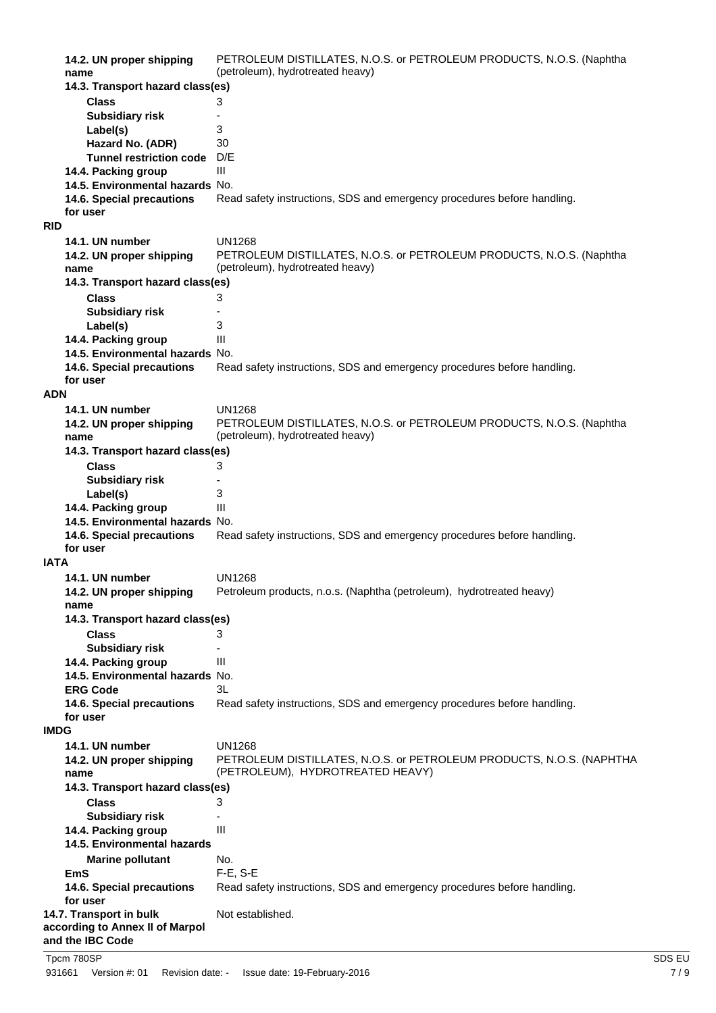| 14.2. UN proper shipping                                   | PETROLEUM DISTILLATES, N.O.S. or PETROLEUM PRODUCTS, N.O.S. (Naphtha    |
|------------------------------------------------------------|-------------------------------------------------------------------------|
| name                                                       | (petroleum), hydrotreated heavy)                                        |
| 14.3. Transport hazard class(es)                           |                                                                         |
| <b>Class</b>                                               | 3                                                                       |
| <b>Subsidiary risk</b>                                     |                                                                         |
| Label(s)                                                   | 3                                                                       |
| Hazard No. (ADR)                                           | 30                                                                      |
| <b>Tunnel restriction code</b>                             | D/E                                                                     |
| 14.4. Packing group                                        | Ш                                                                       |
| 14.5. Environmental hazards No.                            |                                                                         |
| 14.6. Special precautions                                  | Read safety instructions, SDS and emergency procedures before handling. |
| for user                                                   |                                                                         |
| <b>RID</b>                                                 |                                                                         |
| 14.1. UN number                                            | <b>UN1268</b>                                                           |
| 14.2. UN proper shipping                                   | PETROLEUM DISTILLATES, N.O.S. or PETROLEUM PRODUCTS, N.O.S. (Naphtha    |
| name                                                       | (petroleum), hydrotreated heavy)                                        |
| 14.3. Transport hazard class(es)                           |                                                                         |
| <b>Class</b>                                               | 3                                                                       |
| <b>Subsidiary risk</b>                                     | $\overline{\phantom{a}}$                                                |
| Label(s)                                                   | 3                                                                       |
| 14.4. Packing group                                        | Ш                                                                       |
| 14.5. Environmental hazards No.                            |                                                                         |
| 14.6. Special precautions                                  | Read safety instructions, SDS and emergency procedures before handling. |
| for user                                                   |                                                                         |
| <b>ADN</b>                                                 |                                                                         |
| 14.1. UN number                                            | <b>UN1268</b>                                                           |
| 14.2. UN proper shipping                                   | PETROLEUM DISTILLATES, N.O.S. or PETROLEUM PRODUCTS, N.O.S. (Naphtha    |
| name                                                       | (petroleum), hydrotreated heavy)                                        |
| 14.3. Transport hazard class(es)                           |                                                                         |
| <b>Class</b>                                               | 3                                                                       |
| <b>Subsidiary risk</b>                                     |                                                                         |
| Label(s)                                                   | 3                                                                       |
| 14.4. Packing group                                        | Ш                                                                       |
| 14.5. Environmental hazards No.                            |                                                                         |
| 14.6. Special precautions                                  | Read safety instructions, SDS and emergency procedures before handling. |
| for user                                                   |                                                                         |
| <b>IATA</b>                                                |                                                                         |
| 14.1. UN number                                            | <b>UN1268</b>                                                           |
| 14.2. UN proper shipping                                   | Petroleum products, n.o.s. (Naphtha (petroleum), hydrotreated heavy)    |
| name                                                       |                                                                         |
| 14.3. Transport hazard class(es)                           |                                                                         |
| <b>Class</b>                                               | 3                                                                       |
| <b>Subsidiary risk</b>                                     |                                                                         |
| 14.4. Packing group                                        | Ш                                                                       |
| 14.5. Environmental hazards No.                            |                                                                         |
| <b>ERG Code</b>                                            | 3L                                                                      |
| 14.6. Special precautions                                  | Read safety instructions, SDS and emergency procedures before handling. |
| for user                                                   |                                                                         |
| <b>IMDG</b>                                                |                                                                         |
| 14.1. UN number                                            | <b>UN1268</b>                                                           |
| 14.2. UN proper shipping                                   | PETROLEUM DISTILLATES, N.O.S. or PETROLEUM PRODUCTS, N.O.S. (NAPHTHA    |
| name                                                       | (PETROLEUM), HYDROTREATED HEAVY)                                        |
| 14.3. Transport hazard class(es)                           |                                                                         |
| <b>Class</b>                                               | 3                                                                       |
| <b>Subsidiary risk</b>                                     |                                                                         |
| 14.4. Packing group                                        | Ш                                                                       |
| 14.5. Environmental hazards                                |                                                                         |
|                                                            |                                                                         |
| <b>Marine pollutant</b>                                    | No.                                                                     |
| <b>EmS</b>                                                 | $F-E$ , S-E                                                             |
| 14.6. Special precautions                                  | Read safety instructions, SDS and emergency procedures before handling. |
| for user                                                   |                                                                         |
| 14.7. Transport in bulk<br>according to Annex II of Marpol | Not established.                                                        |
| and the IBC Code                                           |                                                                         |
|                                                            |                                                                         |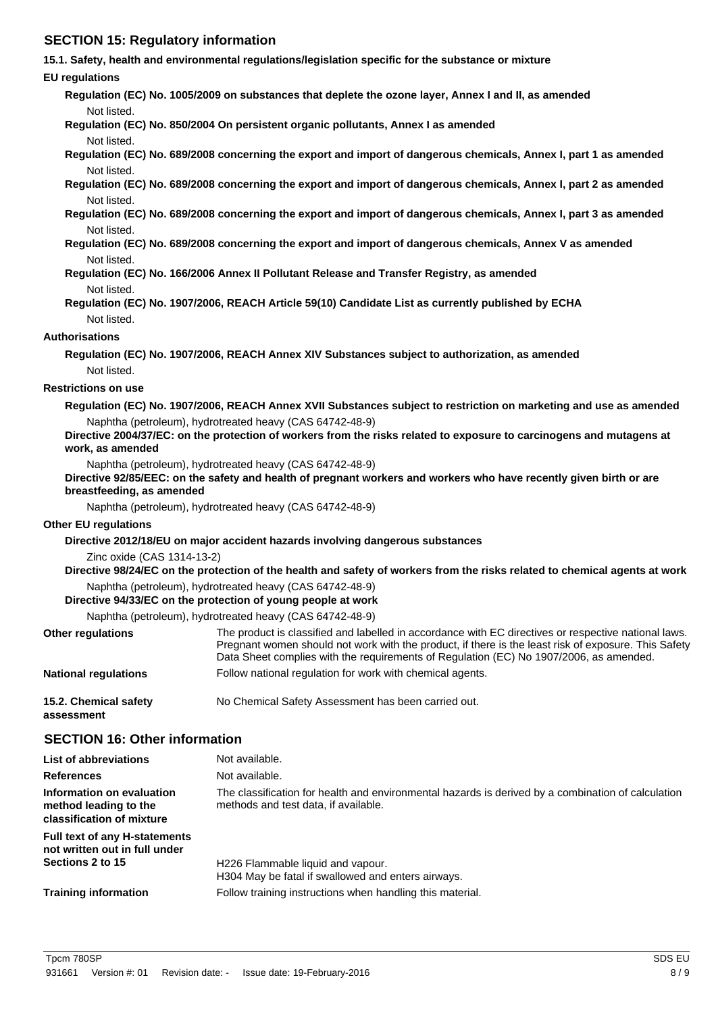# **SECTION 15: Regulatory information**

**15.1. Safety, health and environmental regulations/legislation specific for the substance or mixture**

#### **EU regulations**

**Regulation (EC) No. 1005/2009 on substances that deplete the ozone layer, Annex I and II, as amended** Not listed.

**Regulation (EC) No. 850/2004 On persistent organic pollutants, Annex I as amended**

Not listed.

**Regulation (EC) No. 689/2008 concerning the export and import of dangerous chemicals, Annex I, part 1 as amended** Not listed.

**Regulation (EC) No. 689/2008 concerning the export and import of dangerous chemicals, Annex I, part 2 as amended** Not listed.

**Regulation (EC) No. 689/2008 concerning the export and import of dangerous chemicals, Annex I, part 3 as amended** Not listed.

**Regulation (EC) No. 689/2008 concerning the export and import of dangerous chemicals, Annex V as amended** Not listed.

- **Regulation (EC) No. 166/2006 Annex II Pollutant Release and Transfer Registry, as amended** Not listed.
- **Regulation (EC) No. 1907/2006, REACH Article 59(10) Candidate List as currently published by ECHA** Not listed.

#### **Authorisations**

**Regulation (EC) No. 1907/2006, REACH Annex XIV Substances subject to authorization, as amended** Not listed.

#### **Restrictions on use**

**Regulation (EC) No. 1907/2006, REACH Annex XVII Substances subject to restriction on marketing and use as amended** Naphtha (petroleum), hydrotreated heavy (CAS 64742-48-9)

**Directive 2004/37/EC: on the protection of workers from the risks related to exposure to carcinogens and mutagens at work, as amended**

Naphtha (petroleum), hydrotreated heavy (CAS 64742-48-9)

**Directive 92/85/EEC: on the safety and health of pregnant workers and workers who have recently given birth or are breastfeeding, as amended**

Naphtha (petroleum), hydrotreated heavy (CAS 64742-48-9)

#### **Other EU regulations**

**Directive 2012/18/EU on major accident hazards involving dangerous substances**

Zinc oxide (CAS 1314-13-2)

**Directive 98/24/EC on the protection of the health and safety of workers from the risks related to chemical agents at work** Naphtha (petroleum), hydrotreated heavy (CAS 64742-48-9)

# **Directive 94/33/EC on the protection of young people at work**

Naphtha (petroleum), hydrotreated heavy (CAS 64742-48-9)

| <b>Other regulations</b>            | The product is classified and labelled in accordance with EC directives or respective national laws.<br>Pregnant women should not work with the product, if there is the least risk of exposure. This Safety<br>Data Sheet complies with the requirements of Regulation (EC) No 1907/2006, as amended. |
|-------------------------------------|--------------------------------------------------------------------------------------------------------------------------------------------------------------------------------------------------------------------------------------------------------------------------------------------------------|
| <b>National regulations</b>         | Follow national regulation for work with chemical agents.                                                                                                                                                                                                                                              |
| 15.2. Chemical safety<br>assessment | No Chemical Safety Assessment has been carried out.                                                                                                                                                                                                                                                    |

#### **SECTION 16: Other information**

| <b>List of abbreviations</b>                                                    | Not available.                                                                                                                             |
|---------------------------------------------------------------------------------|--------------------------------------------------------------------------------------------------------------------------------------------|
| <b>References</b>                                                               | Not available.                                                                                                                             |
| Information on evaluation<br>method leading to the<br>classification of mixture | The classification for health and environmental hazards is derived by a combination of calculation<br>methods and test data, if available. |
| Full text of any H-statements<br>not written out in full under                  |                                                                                                                                            |
| Sections 2 to 15                                                                | H226 Flammable liquid and vapour.<br>H304 May be fatal if swallowed and enters airways.                                                    |
| <b>Training information</b>                                                     | Follow training instructions when handling this material.                                                                                  |